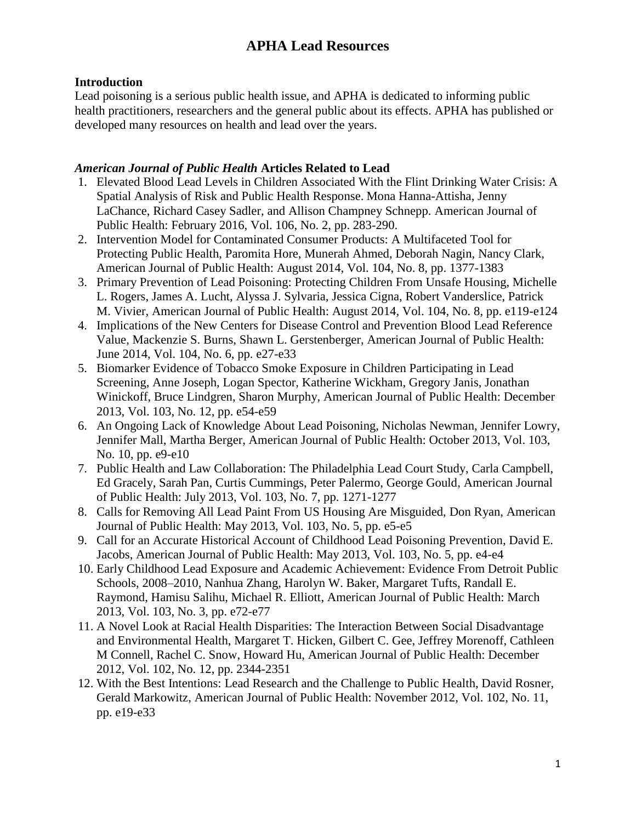#### **Introduction**

Lead poisoning is a serious public health issue, and APHA is dedicated to informing public health practitioners, researchers and the general public about its effects. APHA has published or developed many resources on health and lead over the years.

#### *American Journal of Public Health* **Articles Related to Lead**

- 1. Elevated Blood Lead Levels in Children Associated With the Flint Drinking Water Crisis: A Spatial Analysis of Risk and Public Health Response. Mona Hanna-Attisha, Jenny LaChance, Richard Casey Sadler, and Allison Champney Schnepp. American Journal of Public Health: February 2016, Vol. 106, No. 2, pp. 283-290.
- 2. Intervention Model for Contaminated Consumer Products: A Multifaceted Tool for Protecting Public Health, Paromita Hore, Munerah Ahmed, Deborah Nagin, Nancy Clark, American Journal of Public Health: August 2014, Vol. 104, No. 8, pp. 1377-1383
- 3. Primary Prevention of Lead Poisoning: Protecting Children From Unsafe Housing, Michelle L. Rogers, James A. Lucht, Alyssa J. Sylvaria, Jessica Cigna, Robert Vanderslice, Patrick M. Vivier, American Journal of Public Health: August 2014, Vol. 104, No. 8, pp. e119-e124
- 4. Implications of the New Centers for Disease Control and Prevention Blood Lead Reference Value, Mackenzie S. Burns, Shawn L. Gerstenberger, American Journal of Public Health: June 2014, Vol. 104, No. 6, pp. e27-e33
- 5. Biomarker Evidence of Tobacco Smoke Exposure in Children Participating in Lead Screening, Anne Joseph, Logan Spector, Katherine Wickham, Gregory Janis, Jonathan Winickoff, Bruce Lindgren, Sharon Murphy, American Journal of Public Health: December 2013, Vol. 103, No. 12, pp. e54-e59
- 6. An Ongoing Lack of Knowledge About Lead Poisoning, Nicholas Newman, Jennifer Lowry, Jennifer Mall, Martha Berger, American Journal of Public Health: October 2013, Vol. 103, No. 10, pp. e9-e10
- 7. Public Health and Law Collaboration: The Philadelphia Lead Court Study, Carla Campbell, Ed Gracely, Sarah Pan, Curtis Cummings, Peter Palermo, George Gould, American Journal of Public Health: July 2013, Vol. 103, No. 7, pp. 1271-1277
- 8. Calls for Removing All Lead Paint From US Housing Are Misguided, Don Ryan, American Journal of Public Health: May 2013, Vol. 103, No. 5, pp. e5-e5
- 9. Call for an Accurate Historical Account of Childhood Lead Poisoning Prevention, David E. Jacobs, American Journal of Public Health: May 2013, Vol. 103, No. 5, pp. e4-e4
- 10. Early Childhood Lead Exposure and Academic Achievement: Evidence From Detroit Public Schools, 2008–2010, Nanhua Zhang, Harolyn W. Baker, Margaret Tufts, Randall E. Raymond, Hamisu Salihu, Michael R. Elliott, American Journal of Public Health: March 2013, Vol. 103, No. 3, pp. e72-e77
- 11. A Novel Look at Racial Health Disparities: The Interaction Between Social Disadvantage and Environmental Health, Margaret T. Hicken, Gilbert C. Gee, Jeffrey Morenoff, Cathleen M Connell, Rachel C. Snow, Howard Hu, American Journal of Public Health: December 2012, Vol. 102, No. 12, pp. 2344-2351
- 12. With the Best Intentions: Lead Research and the Challenge to Public Health, David Rosner, Gerald Markowitz, American Journal of Public Health: November 2012, Vol. 102, No. 11, pp. e19-e33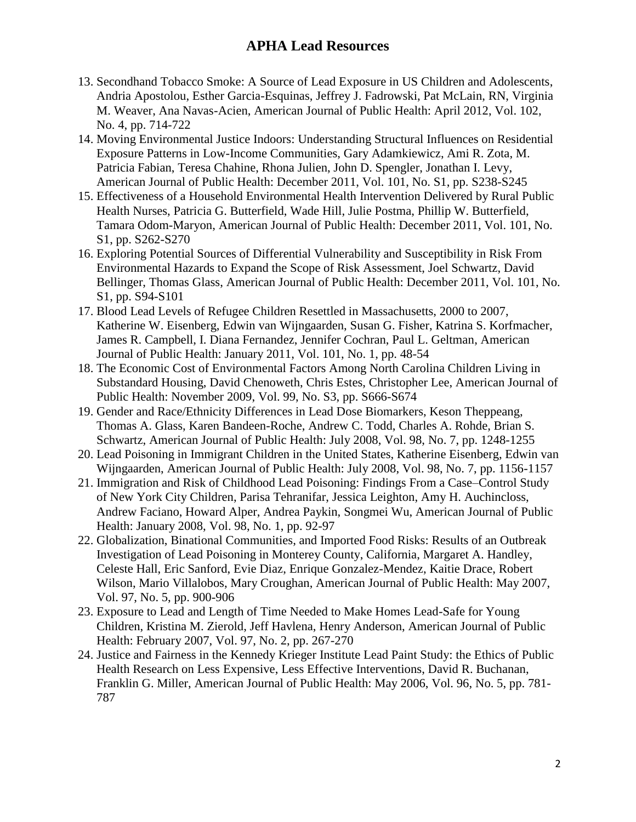- 13. Secondhand Tobacco Smoke: A Source of Lead Exposure in US Children and Adolescents, Andria Apostolou, Esther Garcia-Esquinas, Jeffrey J. Fadrowski, Pat McLain, RN, Virginia M. Weaver, Ana Navas-Acien, American Journal of Public Health: April 2012, Vol. 102, No. 4, pp. 714-722
- 14. Moving Environmental Justice Indoors: Understanding Structural Influences on Residential Exposure Patterns in Low-Income Communities, Gary Adamkiewicz, Ami R. Zota, M. Patricia Fabian, Teresa Chahine, Rhona Julien, John D. Spengler, Jonathan I. Levy, American Journal of Public Health: December 2011, Vol. 101, No. S1, pp. S238-S245
- 15. Effectiveness of a Household Environmental Health Intervention Delivered by Rural Public Health Nurses, Patricia G. Butterfield, Wade Hill, Julie Postma, Phillip W. Butterfield, Tamara Odom-Maryon, American Journal of Public Health: December 2011, Vol. 101, No. S1, pp. S262-S270
- 16. Exploring Potential Sources of Differential Vulnerability and Susceptibility in Risk From Environmental Hazards to Expand the Scope of Risk Assessment, Joel Schwartz, David Bellinger, Thomas Glass, American Journal of Public Health: December 2011, Vol. 101, No. S1, pp. S94-S101
- 17. Blood Lead Levels of Refugee Children Resettled in Massachusetts, 2000 to 2007, Katherine W. Eisenberg, Edwin van Wijngaarden, Susan G. Fisher, Katrina S. Korfmacher, James R. Campbell, I. Diana Fernandez, Jennifer Cochran, Paul L. Geltman, American Journal of Public Health: January 2011, Vol. 101, No. 1, pp. 48-54
- 18. The Economic Cost of Environmental Factors Among North Carolina Children Living in Substandard Housing, David Chenoweth, Chris Estes, Christopher Lee, American Journal of Public Health: November 2009, Vol. 99, No. S3, pp. S666-S674
- 19. Gender and Race/Ethnicity Differences in Lead Dose Biomarkers, Keson Theppeang, Thomas A. Glass, Karen Bandeen-Roche, Andrew C. Todd, Charles A. Rohde, Brian S. Schwartz, American Journal of Public Health: July 2008, Vol. 98, No. 7, pp. 1248-1255
- 20. Lead Poisoning in Immigrant Children in the United States, Katherine Eisenberg, Edwin van Wijngaarden, American Journal of Public Health: July 2008, Vol. 98, No. 7, pp. 1156-1157
- 21. Immigration and Risk of Childhood Lead Poisoning: Findings From a Case–Control Study of New York City Children, Parisa Tehranifar, Jessica Leighton, Amy H. Auchincloss, Andrew Faciano, Howard Alper, Andrea Paykin, Songmei Wu, American Journal of Public Health: January 2008, Vol. 98, No. 1, pp. 92-97
- 22. Globalization, Binational Communities, and Imported Food Risks: Results of an Outbreak Investigation of Lead Poisoning in Monterey County, California, Margaret A. Handley, Celeste Hall, Eric Sanford, Evie Diaz, Enrique Gonzalez-Mendez, Kaitie Drace, Robert Wilson, Mario Villalobos, Mary Croughan, American Journal of Public Health: May 2007, Vol. 97, No. 5, pp. 900-906
- 23. Exposure to Lead and Length of Time Needed to Make Homes Lead-Safe for Young Children, Kristina M. Zierold, Jeff Havlena, Henry Anderson, American Journal of Public Health: February 2007, Vol. 97, No. 2, pp. 267-270
- 24. Justice and Fairness in the Kennedy Krieger Institute Lead Paint Study: the Ethics of Public Health Research on Less Expensive, Less Effective Interventions, David R. Buchanan, Franklin G. Miller, American Journal of Public Health: May 2006, Vol. 96, No. 5, pp. 781- 787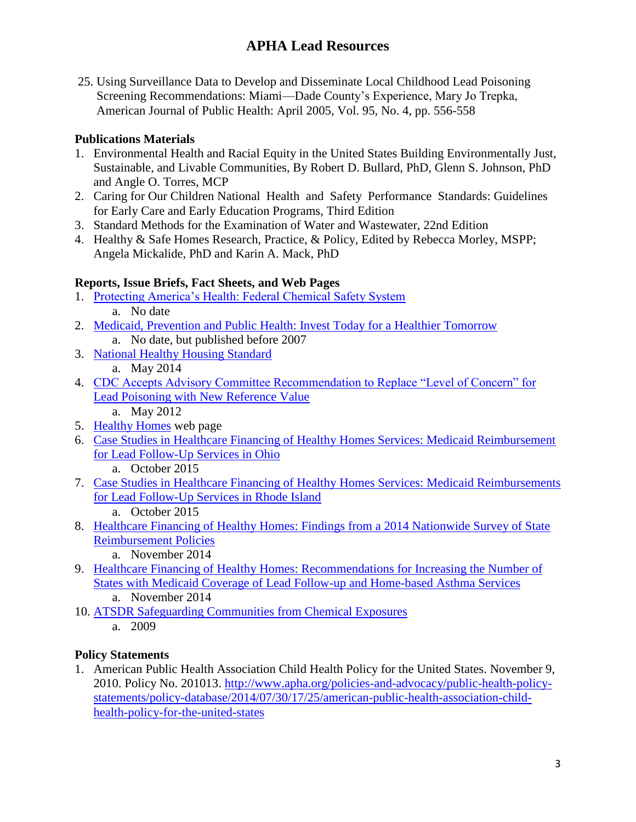25. Using Surveillance Data to Develop and Disseminate Local Childhood Lead Poisoning Screening Recommendations: Miami—Dade County's Experience, Mary Jo Trepka, American Journal of Public Health: April 2005, Vol. 95, No. 4, pp. 556-558

### **Publications Materials**

- 1. Environmental Health and Racial Equity in the United States Building Environmentally Just, Sustainable, and Livable Communities, By Robert D. Bullard, PhD, Glenn S. Johnson, PhD and Angle O. Torres, MCP
- 2. Caring for Our Children National Health and Safety Performance Standards: Guidelines for Early Care and Early Education Programs, Third Edition
- 3. Standard Methods for the Examination of Water and Wastewater, 22nd Edition
- 4. Healthy & Safe Homes Research, Practice, & Policy, Edited by Rebecca Morley, MSPP; Angela Mickalide, PhD and Karin A. Mack, PhD

## **Reports, Issue Briefs, Fact Sheets, and Web Pages**

- 1. [Protecting America's Health: Federal Chemical Safety System](http://www.apha.org/~/media/files/pdf/factsheets/federal_chemical_safety_system.ashx) a. No date
- 2. [Medicaid, Prevention and Public Health: Invest Today for a Healthier Tomorrow](http://www.apha.org/~/media/files/pdf/factsheets/medicaid_report.ashx) a. No date, but published before 2007
- 3. [National Healthy Housing Standard](http://www.apha.org/~/media/files/pdf/factsheets/national_healthy_housing_standard.ashx) a. May 2014
- 4. CDC Accepts Advisory Committee Recommendation to Replace "Level of Concern" for [Lead Poisoning with New Reference Value](http://www.apha.org/news-and-media/news-releases/apha-news-releases/cdc-recommendation-to-replace-level-of-concern-for-lead-poisoning-with-new-reference-value)
	- a. May 2012
- 5. [Healthy Homes](http://www.apha.org/topics-and-issues/environmental-health/healthy-community-design/healthy-homes) web page
- 6. [Case Studies in Healthcare Financing of Healthy Homes Services: Medicaid Reimbursement](http://www.nchh.org/Portals/0/Contents/Lead_OH_Final.pdf)  [for Lead Follow-Up Services in Ohio](http://www.nchh.org/Portals/0/Contents/Lead_OH_Final.pdf)
	- a. October 2015
- 7. [Case Studies in Healthcare Financing of Healthy](http://www.nchh.org/Portals/0/Contents/Lead_RI_final.pdf) Homes Services: Medicaid Reimbursements [for Lead Follow-Up Services in Rhode Island](http://www.nchh.org/Portals/0/Contents/Lead_RI_final.pdf)
	- a. October 2015
- 8. [Healthcare Financing of Healthy Homes: Findings from a 2014 Nationwide Survey of State](http://www.nchh.org/Portals/0/Contents/Reimbursement%20Landscape_MAIN%20REPORT_FINAL%20(18%20November%202014).pdf)  [Reimbursement Policies](http://www.nchh.org/Portals/0/Contents/Reimbursement%20Landscape_MAIN%20REPORT_FINAL%20(18%20November%202014).pdf)
	- a. November 2014
- 9. [Healthcare Financing of Healthy Homes: Recommendations for Increasing the Number of](http://www.nchh.org/Portals/0/Contents/Reimbursement%20Landscape_RECOMMENDATIONS_FINAL%20(18%20November%202014).pdf)  [States with Medicaid Coverage of Lead Follow-up and Home-based Asthma Services](http://www.nchh.org/Portals/0/Contents/Reimbursement%20Landscape_RECOMMENDATIONS_FINAL%20(18%20November%202014).pdf) a. November 2014
- 10. [ATSDR Safeguarding Communities](http://www.apha.org/~/media/files/pdf/factsheets/aphaatsdrbookfinal2b.ashx) from Chemical Exposures
	- a. 2009

### **Policy Statements**

1. American Public Health Association Child Health Policy for the United States. November 9, 2010. Policy No. 201013. [http://www.apha.org/policies-and-advocacy/public-health-policy](http://www.apha.org/policies-and-advocacy/public-health-policy-statements/policy-database/2014/07/30/17/25/american-public-health-association-child-health-policy-for-the-united-states)[statements/policy-database/2014/07/30/17/25/american-public-health-association-child](http://www.apha.org/policies-and-advocacy/public-health-policy-statements/policy-database/2014/07/30/17/25/american-public-health-association-child-health-policy-for-the-united-states)[health-policy-for-the-united-states](http://www.apha.org/policies-and-advocacy/public-health-policy-statements/policy-database/2014/07/30/17/25/american-public-health-association-child-health-policy-for-the-united-states)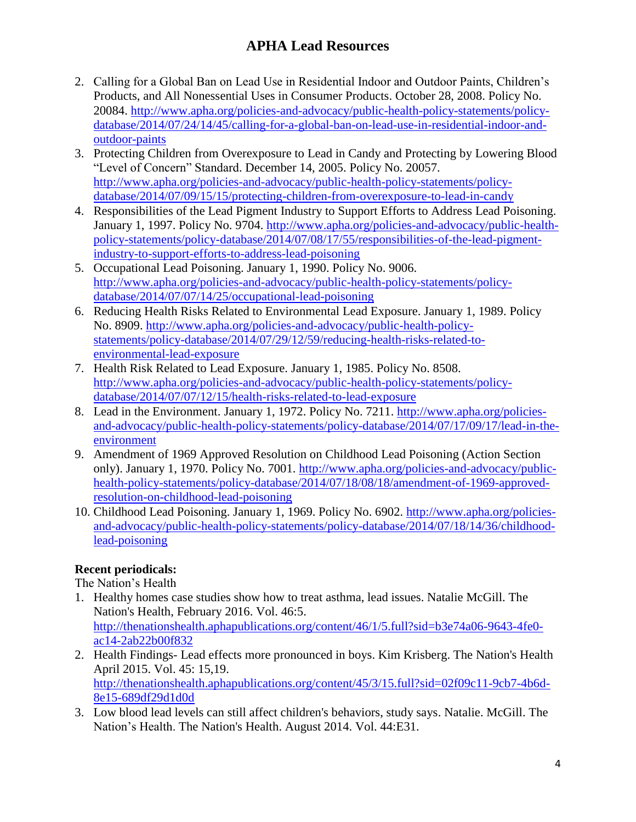- 2. Calling for a Global Ban on Lead Use in Residential Indoor and Outdoor Paints, Children's Products, and All Nonessential Uses in Consumer Products. October 28, 2008. Policy No. 20084. [http://www.apha.org/policies-and-advocacy/public-health-policy-statements/policy](http://www.apha.org/policies-and-advocacy/public-health-policy-statements/policy-database/2014/07/24/14/45/calling-for-a-global-ban-on-lead-use-in-residential-indoor-and-outdoor-paints)[database/2014/07/24/14/45/calling-for-a-global-ban-on-lead-use-in-residential-indoor-and](http://www.apha.org/policies-and-advocacy/public-health-policy-statements/policy-database/2014/07/24/14/45/calling-for-a-global-ban-on-lead-use-in-residential-indoor-and-outdoor-paints)[outdoor-paints](http://www.apha.org/policies-and-advocacy/public-health-policy-statements/policy-database/2014/07/24/14/45/calling-for-a-global-ban-on-lead-use-in-residential-indoor-and-outdoor-paints)
- 3. Protecting Children from Overexposure to Lead in Candy and Protecting by Lowering Blood "Level of Concern" Standard. December 14, 2005. Policy No. 20057. [http://www.apha.org/policies-and-advocacy/public-health-policy-statements/policy](http://www.apha.org/policies-and-advocacy/public-health-policy-statements/policy-database/2014/07/09/15/15/protecting-children-from-overexposure-to-lead-in-candy)[database/2014/07/09/15/15/protecting-children-from-overexposure-to-lead-in-candy](http://www.apha.org/policies-and-advocacy/public-health-policy-statements/policy-database/2014/07/09/15/15/protecting-children-from-overexposure-to-lead-in-candy)
- 4. Responsibilities of the Lead Pigment Industry to Support Efforts to Address Lead Poisoning. January 1, 1997. Policy No. 9704. [http://www.apha.org/policies-and-advocacy/public-health](http://www.apha.org/policies-and-advocacy/public-health-policy-statements/policy-database/2014/07/08/17/55/responsibilities-of-the-lead-pigment-industry-to-support-efforts-to-address-lead-poisoning)[policy-statements/policy-database/2014/07/08/17/55/responsibilities-of-the-lead-pigment](http://www.apha.org/policies-and-advocacy/public-health-policy-statements/policy-database/2014/07/08/17/55/responsibilities-of-the-lead-pigment-industry-to-support-efforts-to-address-lead-poisoning)[industry-to-support-efforts-to-address-lead-poisoning](http://www.apha.org/policies-and-advocacy/public-health-policy-statements/policy-database/2014/07/08/17/55/responsibilities-of-the-lead-pigment-industry-to-support-efforts-to-address-lead-poisoning)
- 5. Occupational Lead Poisoning. January 1, 1990. Policy No. 9006. [http://www.apha.org/policies-and-advocacy/public-health-policy-statements/policy](http://www.apha.org/policies-and-advocacy/public-health-policy-statements/policy-database/2014/07/07/14/25/occupational-lead-poisoning)[database/2014/07/07/14/25/occupational-lead-poisoning](http://www.apha.org/policies-and-advocacy/public-health-policy-statements/policy-database/2014/07/07/14/25/occupational-lead-poisoning)
- 6. Reducing Health Risks Related to Environmental Lead Exposure. January 1, 1989. Policy No. 8909. [http://www.apha.org/policies-and-advocacy/public-health-policy](http://www.apha.org/policies-and-advocacy/public-health-policy-statements/policy-database/2014/07/29/12/59/reducing-health-risks-related-to-environmental-lead-exposure)[statements/policy-database/2014/07/29/12/59/reducing-health-risks-related-to](http://www.apha.org/policies-and-advocacy/public-health-policy-statements/policy-database/2014/07/29/12/59/reducing-health-risks-related-to-environmental-lead-exposure)[environmental-lead-exposure](http://www.apha.org/policies-and-advocacy/public-health-policy-statements/policy-database/2014/07/29/12/59/reducing-health-risks-related-to-environmental-lead-exposure)
- 7. Health Risk Related to Lead Exposure. January 1, 1985. Policy No. 8508. [http://www.apha.org/policies-and-advocacy/public-health-policy-statements/policy](http://www.apha.org/policies-and-advocacy/public-health-policy-statements/policy-database/2014/07/07/12/15/health-risks-related-to-lead-exposure)[database/2014/07/07/12/15/health-risks-related-to-lead-exposure](http://www.apha.org/policies-and-advocacy/public-health-policy-statements/policy-database/2014/07/07/12/15/health-risks-related-to-lead-exposure)
- 8. Lead in the Environment. January 1, 1972. Policy No. 7211. [http://www.apha.org/policies](http://www.apha.org/policies-and-advocacy/public-health-policy-statements/policy-database/2014/07/17/09/17/lead-in-the-environment)[and-advocacy/public-health-policy-statements/policy-database/2014/07/17/09/17/lead-in-the](http://www.apha.org/policies-and-advocacy/public-health-policy-statements/policy-database/2014/07/17/09/17/lead-in-the-environment)[environment](http://www.apha.org/policies-and-advocacy/public-health-policy-statements/policy-database/2014/07/17/09/17/lead-in-the-environment)
- 9. Amendment of 1969 Approved Resolution on Childhood Lead Poisoning (Action Section only). January 1, 1970. Policy No. 7001. [http://www.apha.org/policies-and-advocacy/public](http://www.apha.org/policies-and-advocacy/public-health-policy-statements/policy-database/2014/07/18/08/18/amendment-of-1969-approved-resolution-on-childhood-lead-poisoning)[health-policy-statements/policy-database/2014/07/18/08/18/amendment-of-1969-approved](http://www.apha.org/policies-and-advocacy/public-health-policy-statements/policy-database/2014/07/18/08/18/amendment-of-1969-approved-resolution-on-childhood-lead-poisoning)[resolution-on-childhood-lead-poisoning](http://www.apha.org/policies-and-advocacy/public-health-policy-statements/policy-database/2014/07/18/08/18/amendment-of-1969-approved-resolution-on-childhood-lead-poisoning)
- 10. Childhood Lead Poisoning. January 1, 1969. Policy No. 6902. [http://www.apha.org/policies](http://www.apha.org/policies-and-advocacy/public-health-policy-statements/policy-database/2014/07/18/14/36/childhood-lead-poisoning)[and-advocacy/public-health-policy-statements/policy-database/2014/07/18/14/36/childhood](http://www.apha.org/policies-and-advocacy/public-health-policy-statements/policy-database/2014/07/18/14/36/childhood-lead-poisoning)[lead-poisoning](http://www.apha.org/policies-and-advocacy/public-health-policy-statements/policy-database/2014/07/18/14/36/childhood-lead-poisoning)

### **Recent periodicals:**

The Nation's Health

- 1. Healthy homes case studies show how to treat asthma, lead issues. Natalie McGill. The Nation's Health, February 2016. Vol. 46:5. [http://thenationshealth.aphapublications.org/content/46/1/5.full?sid=b3e74a06-9643-4fe0](http://thenationshealth.aphapublications.org/content/46/1/5.full?sid=b3e74a06-9643-4fe0-ac14-2ab22b00f832) [ac14-2ab22b00f832](http://thenationshealth.aphapublications.org/content/46/1/5.full?sid=b3e74a06-9643-4fe0-ac14-2ab22b00f832)
- 2. Health Findings- Lead effects more pronounced in boys. Kim Krisberg. The Nation's Health April 2015. Vol. 45: 15,19. [http://thenationshealth.aphapublications.org/content/45/3/15.full?sid=02f09c11-9cb7-4b6d-](http://thenationshealth.aphapublications.org/content/45/3/15.full?sid=02f09c11-9cb7-4b6d-8e15-689df29d1d0d)[8e15-689df29d1d0d](http://thenationshealth.aphapublications.org/content/45/3/15.full?sid=02f09c11-9cb7-4b6d-8e15-689df29d1d0d)
- 3. Low blood lead levels can still affect children's behaviors, study says. Natalie. McGill. The Nation's Health. The Nation's Health. August 2014. Vol. 44:E31.